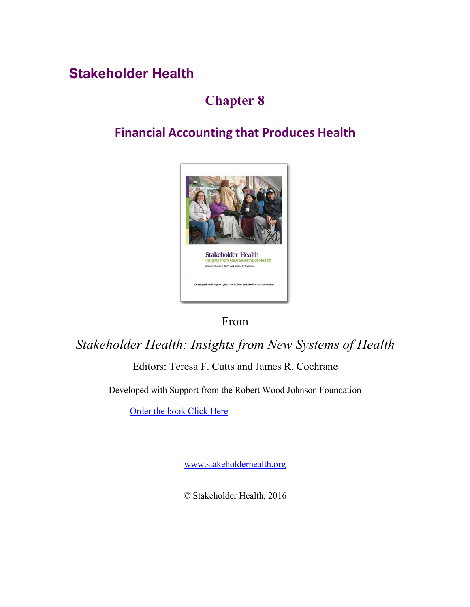# **Stakeholder Health**

# **Chapter 8**

# **Financial Accounting that Produces Health**



# From

# *Stakeholder Health: Insights from New Systems of Health*

# Editors: Teresa F. Cutts and James R. Cochrane

Developed with Support from the Robert Wood Johnson Foundation

Order the [book Click Here](https://www.amazon.com/Stakeholder-Health-Insights-New-Systems/dp/069270728X?ie=UTF8&keywords=%26%2334%3Bstakeholder%20health%26%2334%3B&qid=1464881294&ref_=sr_1_2&s=books&sr=1-2)

[www.stakeholderhealth.org](http://www.stakeholderhealth.org/)

© Stakeholder Health, 2016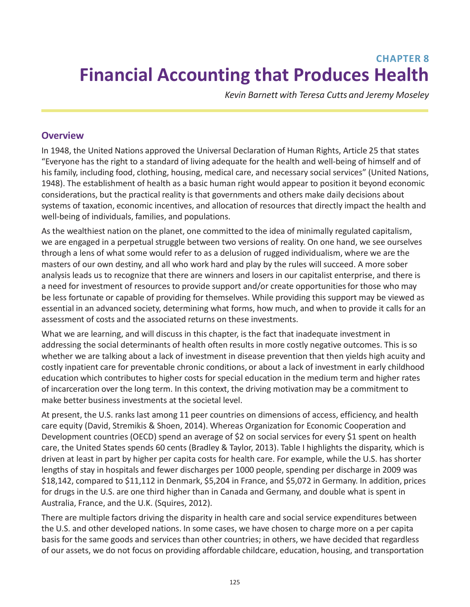# **CHAPTER 8 Financial Accounting that Produces Health**

*Kevin Barnett with Teresa Cutts and Jeremy Moseley*

# **Overview**

In 1948, the United Nations approved the Universal Declaration of Human Rights, Article 25 that states "Everyone has the right to a standard of living adequate for the health and well-being of himself and of his family, including food, clothing, housing, medical care, and necessary social services" (United Nations, 1948). The establishment of health as a basic human right would appear to position it beyond economic considerations, but the practical reality is that governments and others make daily decisions about systems of taxation, economic incentives, and allocation of resources that directly impact the health and well-being of individuals, families, and populations.

As the wealthiest nation on the planet, one committed to the idea of minimally regulated capitalism, we are engaged in a perpetual struggle between two versions of reality. On one hand, we see ourselves through a lens of what some would refer to as a delusion of rugged individualism, where we are the masters of our own destiny, and all who work hard and play by the rules will succeed. A more sober analysis leads us to recognize that there are winners and losers in our capitalist enterprise, and there is a need for investment of resources to provide support and/or create opportunities for those who may be less fortunate or capable of providing for themselves. While providing this support may be viewed as essential in an advanced society, determining what forms, how much, and when to provide it calls for an assessment of costs and the associated returns on these investments.

What we are learning, and will discuss in this chapter, is the fact that inadequate investment in addressing the social determinants of health often results in more costly negative outcomes. This is so whether we are talking about a lack of investment in disease prevention that then yields high acuity and costly inpatient care for preventable chronic conditions, or about a lack of investment in early childhood education which contributes to higher costs for special education in the medium term and higher rates of incarceration over the long term. In this context, the driving motivation may be a commitment to make better business investments at the societal level.

At present, the U.S. ranks last among 11 peer countries on dimensions of access, efficiency, and health care equity (David, Stremikis & Shoen, 2014). Whereas Organization for Economic Cooperation and Development countries (OECD) spend an average of \$2 on social services for every \$1 spent on health care, the United States spends 60 cents (Bradley & Taylor, 2013). Table I highlights the disparity, which is driven at least in part by higher per capita costs for health care. For example, while the U.S. has shorter lengths of stay in hospitals and fewer discharges per 1000 people, spending per discharge in 2009 was \$18,142, compared to \$11,112 in Denmark, \$5,204 in France, and \$5,072 in Germany. In addition, prices for drugs in the U.S. are one third higher than in Canada and Germany, and double what is spent in Australia, France, and the U.K. (Squires, 2012).

There are multiple factors driving the disparity in health care and social service expenditures between the U.S. and other developed nations. In some cases, we have chosen to charge more on a per capita basis for the same goods and services than other countries; in others, we have decided that regardless of our assets, we do not focus on providing affordable childcare, education, housing, and transportation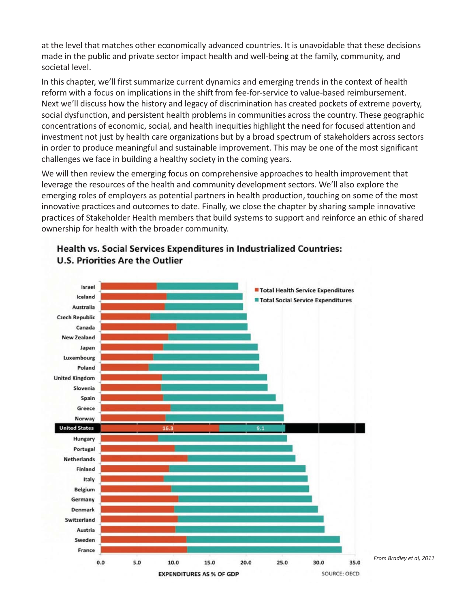at the level that matches other economically advanced countries. It is unavoidable that these decisions made in the public and private sector impact health and well-being at the family, community, and societal level.

In this chapter, we'll first summarize current dynamics and emerging trends in the context of health reform with a focus on implications in the shift from fee-for-service to value-based reimbursement. Next we'll discuss how the history and legacy of discrimination has created pockets of extreme poverty, social dysfunction, and persistent health problems in communities across the country. These geographic concentrations of economic, social, and health inequities highlight the need for focused attention and investment not just by health care organizations but by a broad spectrum of stakeholders across sectors in order to produce meaningful and sustainable improvement. This may be one of the most significant challenges we face in building a healthy society in the coming years.

We will then review the emerging focus on comprehensive approaches to health improvement that leverage the resources of the health and community development sectors. We'll also explore the emerging roles of employers as potential partners in health production, touching on some of the most innovative practices and outcomes to date. Finally, we close the chapter by sharing sample innovative practices of Stakeholder Health members that build systems to support and reinforce an ethic of shared ownership for health with the broader community.



## **Health vs. Social Services Expenditures in Industrialized Countries: U.S. Priorities Are the Outlier**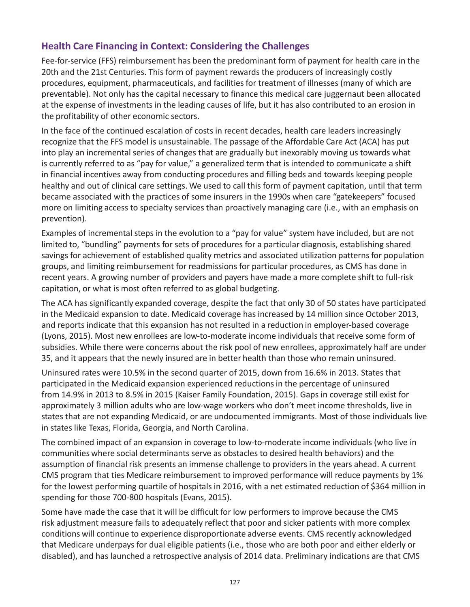# **Health Care Financing in Context: Considering the Challenges**

Fee-for-service (FFS) reimbursement has been the predominant form of payment for health care in the 20th and the 21st Centuries. This form of payment rewards the producers of increasingly costly procedures, equipment, pharmaceuticals, and facilitiesfor treatment of illnesses (many of which are preventable). Not only has the capital necessary to finance this medical care juggernaut been allocated at the expense of investments in the leading causes of life, but it has also contributed to an erosion in the profitability of other economic sectors.

In the face of the continued escalation of costs in recent decades, health care leaders increasingly recognize that the FFS model is unsustainable. The passage of the Affordable Care Act (ACA) has put into play an incremental series of changes that are gradually but inexorably moving us towards what is currently referred to as "pay for value," a generalized term that is intended to communicate a shift in financial incentives away from conducting procedures and filling beds and towards keeping people healthy and out of clinical care settings. We used to call this form of payment capitation, until that term became associated with the practices of some insurers in the 1990s when care "gatekeepers" focused more on limiting access to specialty services than proactively managing care (i.e., with an emphasis on prevention).

Examples of incremental steps in the evolution to a "pay for value" system have included, but are not limited to, "bundling" payments for sets of procedures for a particular diagnosis, establishing shared savings for achievement of established quality metrics and associated utilization patternsfor population groups, and limiting reimbursement for readmissions for particular procedures, as CMS has done in recent years. A growing number of providers and payers have made a more complete shift to full-risk capitation, or what is most often referred to as global budgeting.

The ACA has significantly expanded coverage, despite the fact that only 30 of 50 states have participated in the Medicaid expansion to date. Medicaid coverage has increased by 14 million since October 2013, and reports indicate that this expansion has not resulted in a reduction in employer-based coverage (Lyons, 2015). Most new enrollees are low-to-moderate income individuals that receive some form of subsidies. While there were concerns about the risk pool of new enrollees, approximately half are under 35, and it appears that the newly insured are in better health than those who remain uninsured.

Uninsured rates were 10.5% in the second quarter of 2015, down from 16.6% in 2013. States that participated in the Medicaid expansion experienced reductions in the percentage of uninsured from 14.9% in 2013 to 8.5% in 2015 (Kaiser Family Foundation, 2015). Gaps in coverage still exist for approximately 3 million adults who are low-wage workers who don't meet income thresholds, live in states that are not expanding Medicaid, or are undocumented immigrants. Most of those individuals live in states like Texas, Florida, Georgia, and North Carolina.

The combined impact of an expansion in coverage to low-to-moderate income individuals (who live in communities where social determinants serve as obstacles to desired health behaviors) and the assumption of financial risk presents an immense challenge to providers in the years ahead. A current CMS program that ties Medicare reimbursement to improved performance will reduce payments by 1% for the lowest performing quartile of hospitals in 2016, with a net estimated reduction of \$364 million in spending for those 700-800 hospitals (Evans, 2015).

Some have made the case that it will be difficult for low performers to improve because the CMS risk adjustment measure fails to adequately reflect that poor and sicker patients with more complex conditions will continue to experience disproportionate adverse events. CMS recently acknowledged that Medicare underpays for dual eligible patients(i.e., those who are both poor and either elderly or disabled), and has launched a retrospective analysis of 2014 data. Preliminary indications are that CMS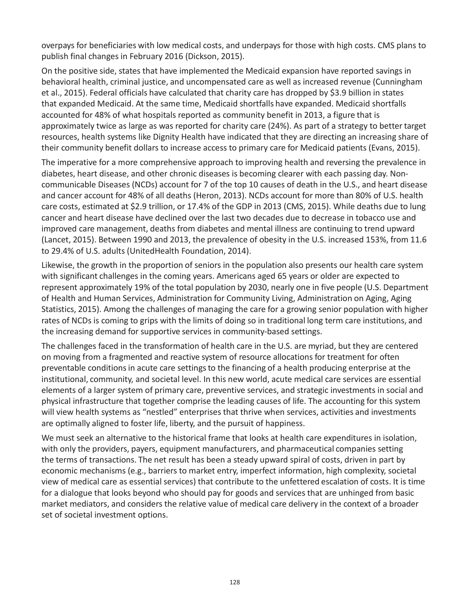overpays for beneficiaries with low medical costs, and underpays for those with high costs. CMS plans to publish final changes in February 2016 (Dickson, 2015).

On the positive side, states that have implemented the Medicaid expansion have reported savings in behavioral health, criminal justice, and uncompensated care as well as increased revenue (Cunningham et al., 2015). Federal officials have calculated that charity care has dropped by \$3.9 billion in states that expanded Medicaid. At the same time, Medicaid shortfalls have expanded. Medicaid shortfalls accounted for 48% of what hospitals reported as community benefit in 2013, a figure that is approximately twice as large as was reported for charity care (24%). As part of a strategy to better target resources, health systems like Dignity Health have indicated that they are directing an increasing share of their community benefit dollars to increase access to primary care for Medicaid patients (Evans, 2015).

The imperative for a more comprehensive approach to improving health and reversing the prevalence in diabetes, heart disease, and other chronic diseases is becoming clearer with each passing day. Noncommunicable Diseases (NCDs) account for 7 of the top 10 causes of death in the U.S., and heart disease and cancer account for 48% of all deaths (Heron, 2013). NCDs account for more than 80% of U.S. health care costs, estimated at \$2.9 trillion, or 17.4% of the GDP in 2013 (CMS, 2015). While deaths due to lung cancer and heart disease have declined over the last two decades due to decrease in tobacco use and improved care management, deaths from diabetes and mental illness are continuing to trend upward (Lancet, 2015). Between 1990 and 2013, the prevalence of obesity in the U.S. increased 153%, from 11.6 to 29.4% of U.S. adults (UnitedHealth Foundation, 2014).

Likewise, the growth in the proportion of seniors in the population also presents our health care system with significant challenges in the coming years. Americans aged 65 years or older are expected to represent approximately 19% of the total population by 2030, nearly one in five people (U.S. Department of Health and Human Services, Administration for Community Living, Administration on Aging, Aging Statistics, 2015). Among the challenges of managing the care for a growing senior population with higher rates of NCDs is coming to grips with the limits of doing so in traditional long term care institutions, and the increasing demand for supportive services in community-based settings.

The challenges faced in the transformation of health care in the U.S. are myriad, but they are centered on moving from a fragmented and reactive system of resource allocations for treatment for often preventable conditionsin acute care settingsto the financing of a health producing enterprise at the institutional, community, and societal level. In this new world, acute medical care services are essential elements of a larger system of primary care, preventive services, and strategic investments in social and physical infrastructure that together comprise the leading causes of life. The accounting for this system will view health systems as "nestled" enterprises that thrive when services, activities and investments are optimally aligned to foster life, liberty, and the pursuit of happiness.

We must seek an alternative to the historical frame that looks at health care expenditures in isolation, with only the providers, payers, equipment manufacturers, and pharmaceutical companies setting the terms of transactions. The net result has been a steady upward spiral of costs, driven in part by economic mechanisms (e.g., barriers to market entry, imperfect information, high complexity, societal view of medical care as essential services) that contribute to the unfettered escalation of costs. It is time for a dialogue that looks beyond who should pay for goods and services that are unhinged from basic market mediators, and considers the relative value of medical care delivery in the context of a broader set of societal investment options.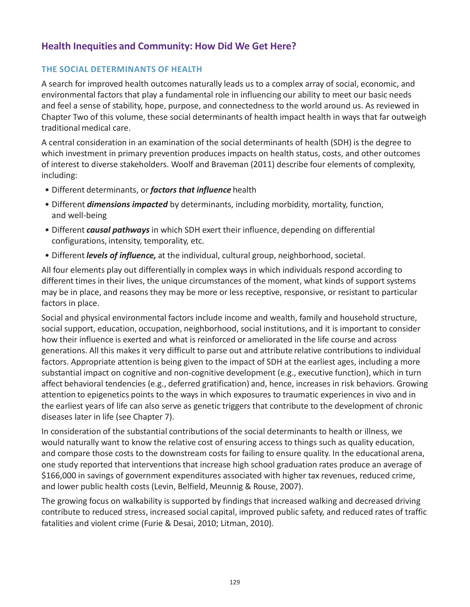# **Health Inequities and Community: How Did We Get Here?**

## **THE SOCIAL DETERMINANTS OF HEALTH**

A search for improved health outcomes naturally leads us to a complex array of social, economic, and environmental factors that play a fundamental role in influencing our ability to meet our basic needs and feel a sense of stability, hope, purpose, and connectedness to the world around us. As reviewed in Chapter Two of this volume, these social determinants of health impact health in ways that far outweigh traditional medical care.

A central consideration in an examination of the social determinants of health (SDH) is the degree to which investment in primary prevention produces impacts on health status, costs, and other outcomes of interest to diverse stakeholders. Woolf and Braveman (2011) describe four elements of complexity, including:

- Different determinants, or *factors that influence* health
- Different *dimensions impacted* by determinants, including morbidity, mortality, function, and well-being
- Different *causal pathways* in which SDH exert their influence, depending on differential configurations, intensity, temporality, etc.
- Different *levels of influence,* at the individual, cultural group, neighborhood, societal.

All four elements play out differentially in complex ways in which individuals respond according to different times in their lives, the unique circumstances of the moment, what kinds of support systems may be in place, and reasons they may be more or less receptive, responsive, or resistant to particular factors in place.

Social and physical environmental factors include income and wealth, family and household structure, social support, education, occupation, neighborhood, social institutions, and it is important to consider how their influence is exerted and what is reinforced or ameliorated in the life course and across generations. All this makes it very difficult to parse out and attribute relative contributionsto individual factors. Appropriate attention is being given to the impact of SDH at the earliest ages, including a more substantial impact on cognitive and non-cognitive development (e.g., executive function), which in turn affect behavioral tendencies (e.g., deferred gratification) and, hence, increases in risk behaviors. Growing attention to epigenetics points to the ways in which exposures to traumatic experiences in vivo and in the earliest years of life can also serve as genetic triggers that contribute to the development of chronic diseases later in life (see Chapter 7).

In consideration of the substantial contributions of the social determinants to health or illness, we would naturally want to know the relative cost of ensuring access to things such as quality education, and compare those costs to the downstream costs for failing to ensure quality. In the educational arena, one study reported that interventions that increase high school graduation rates produce an average of \$166,000 in savings of government expenditures associated with higher tax revenues, reduced crime, and lower public health costs (Levin, Belfield, Meunnig & Rouse, 2007).

The growing focus on walkability is supported by findings that increased walking and decreased driving contribute to reduced stress, increased social capital, improved public safety, and reduced rates of traffic fatalities and violent crime (Furie & Desai, 2010; Litman, 2010).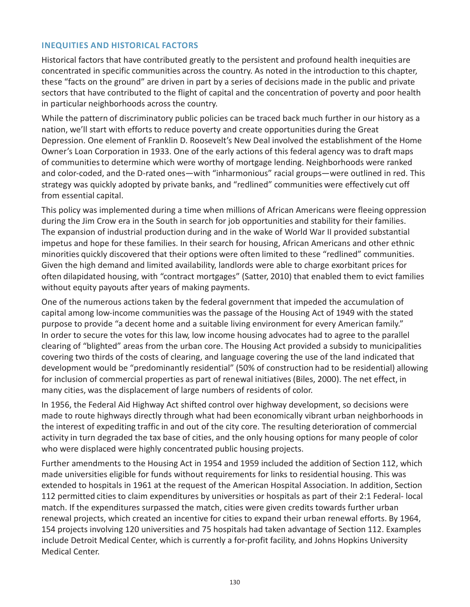### **INEQUITIES AND HISTORICAL FACTORS**

Historical factors that have contributed greatly to the persistent and profound health inequities are concentrated in specific communities across the country. As noted in the introduction to this chapter, these "facts on the ground" are driven in part by a series of decisions made in the public and private sectors that have contributed to the flight of capital and the concentration of poverty and poor health in particular neighborhoods across the country.

While the pattern of discriminatory public policies can be traced back much further in our history as a nation, we'll start with efforts to reduce poverty and create opportunities during the Great Depression. One element of Franklin D. Roosevelt's New Deal involved the establishment of the Home Owner's Loan Corporation in 1933. One of the early actions of this federal agency was to draft maps of communitiesto determine which were worthy of mortgage lending. Neighborhoods were ranked and color-coded, and the D-rated ones—with "inharmonious" racial groups—were outlined in red. This strategy was quickly adopted by private banks, and "redlined" communities were effectively cut off from essential capital.

This policy was implemented during a time when millions of African Americans were fleeing oppression during the Jim Crow era in the South in search for job opportunities and stability for their families. The expansion of industrial production during and in the wake of World War II provided substantial impetus and hope for these families. In their search for housing, African Americans and other ethnic minorities quickly discovered that their options were often limited to these "redlined" communities. Given the high demand and limited availability, landlords were able to charge exorbitant prices for often dilapidated housing, with "contract mortgages" (Satter, 2010) that enabled them to evict families without equity payouts after years of making payments.

One of the numerous actions taken by the federal government that impeded the accumulation of capital among low-income communities was the passage of the Housing Act of 1949 with the stated purpose to provide "a decent home and a suitable living environment for every American family." In order to secure the votes for this law, low income housing advocates had to agree to the parallel clearing of "blighted" areas from the urban core. The Housing Act provided a subsidy to municipalities covering two thirds of the costs of clearing, and language covering the use of the land indicated that development would be "predominantly residential" (50% of construction had to be residential) allowing for inclusion of commercial properties as part of renewal initiatives (Biles, 2000). The net effect, in many cities, was the displacement of large numbers of residents of color.

In 1956, the Federal Aid Highway Act shifted control over highway development, so decisions were made to route highways directly through what had been economically vibrant urban neighborhoods in the interest of expediting traffic in and out of the city core. The resulting deterioration of commercial activity in turn degraded the tax base of cities, and the only housing options for many people of color who were displaced were highly concentrated public housing projects.

Further amendments to the Housing Act in 1954 and 1959 included the addition of Section 112, which made universities eligible for funds without requirements for links to residential housing. This was extended to hospitals in 1961 at the request of the American Hospital Association. In addition, Section 112 permitted cities to claim expenditures by universities or hospitals as part of their 2:1 Federal- local match. If the expenditures surpassed the match, cities were given credits towards further urban renewal projects, which created an incentive for cities to expand their urban renewal efforts. By 1964, 154 projects involving 120 universities and 75 hospitals had taken advantage of Section 112. Examples include Detroit Medical Center, which is currently a for-profit facility, and Johns Hopkins University Medical Center.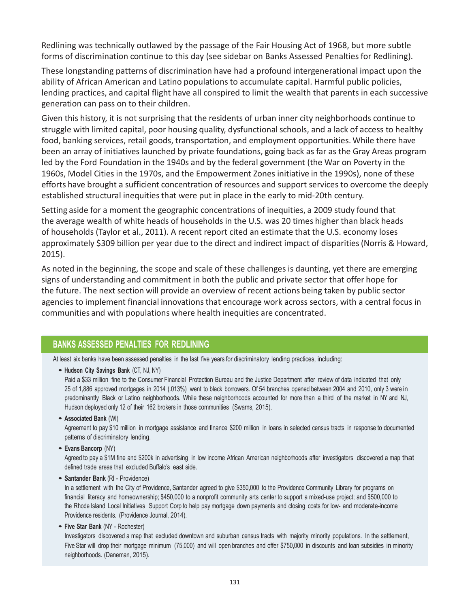Redlining was technically outlawed by the passage of the Fair Housing Act of 1968, but more subtle forms of discrimination continue to this day (see sidebar on Banks Assessed Penalties for Redlining).

These longstanding patterns of discrimination have had a profound intergenerational impact upon the ability of African American and Latino populations to accumulate capital. Harmful public policies, lending practices, and capital flight have all conspired to limit the wealth that parents in each successive generation can pass on to their children.

Given this history, it is not surprising that the residents of urban inner city neighborhoods continue to struggle with limited capital, poor housing quality, dysfunctionalschools, and a lack of access to healthy food, banking services, retail goods, transportation, and employment opportunities.While there have been an array of initiatives launched by private foundations, going back as far as the Gray Areas program led by the Ford Foundation in the 1940s and by the federal government (the War on Poverty in the 1960s, Model Cities in the 1970s, and the Empowerment Zones initiative in the 1990s), none of these efforts have brought a sufficient concentration of resources and support services to overcome the deeply established structural inequitiesthat were put in place in the early to mid-20th century.

Setting aside for a moment the geographic concentrations of inequities, a 2009 study found that the average wealth of white heads of households in the U.S. was 20 times higher than black heads of households (Taylor et al., 2011). A recent report cited an estimate that the U.S. economy loses approximately \$309 billion per year due to the direct and indirect impact of disparities(Norris & Howard, 2015).

As noted in the beginning, the scope and scale of these challenges is daunting, yet there are emerging signs of understanding and commitment in both the public and private sector that offer hope for the future. The next section will provide an overview of recent actions being taken by public sector agencies to implement financial innovations that encourage work across sectors, with a central focus in communities and with populations where health inequities are concentrated.

# **BANKS ASSESSED PENALTIES FOR REDLINING**

At least six banks have been assessed penalties in the last five years for discriminatory lending practices, including:

**• Hudson City Savings Bank** (CT, NJ, NY)

Paid a \$33 million fine to the Consumer Financial Protection Bureau and the Justice Department after review of data indicated that only 25 of 1,886 approved mortgages in 2014 (.013%) went to black borrowers. Of 54 branches opened between 2004 and 2010, only 3 were in predominantly Black or Latino neighborhoods. While these neighborhoods accounted for more than a third of the market in NY and NJ, Hudson deployed only 12 of their 162 brokers in those communities (Swarns, 2015).

**• Associated Bank** (WI)

Agreement to pay \$10 million in mortgage assistance and finance \$200 million in loans in selected census tracts in response to documented patterns of discriminatory lending.

**• Evans Bancorp** (NY)

Agreed to pay a \$1M fine and \$200k in advertising in low income African American neighborhoods after investigators discovered a map that defined trade areas that excluded Buffalo's east side.

**• Santander Bank** (RI - Providence)

In a settlement with the City of Providence, Santander agreed to give \$350,000 to the Providence Community Library for programs on financial literacy and homeownership; \$450,000 to a nonprofit community arts center to support a mixed-use project; and \$500,000 to the Rhode Island Local Initiatives Support Corp to help pay mortgage down payments and closing costs for low- and moderate-income Providence residents. (Providence Journal, 2014).

**• Five Star Bank** (NY - Rochester)

Investigators discovered a map that excluded downtown and suburban census tracts with majority minority populations. In the settlement, Five Star will drop their mortgage minimum (75,000) and will open branches and offer \$750,000 in discounts and loan subsidies in minority neighborhoods. (Daneman, 2015).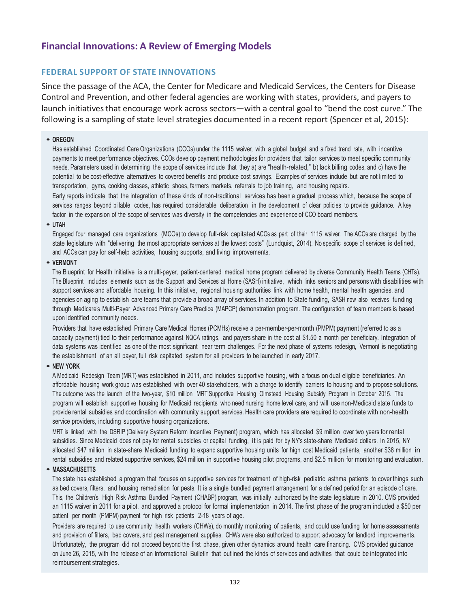# **Financial Innovations: A Review of Emerging Models**

## **FEDERAL SUPPORT OF STATE INNOVATIONS**

Since the passage of the ACA, the Center for Medicare and Medicaid Services, the Centers for Disease Control and Prevention, and other federal agencies are working with states, providers, and payers to launch initiatives that encourage work across sectors—with a central goal to "bend the cost curve." The following is a sampling of state level strategies documented in a recent report (Spencer et al, 2015):

#### **• OREGON**

Has established Coordinated Care Organizations (CCOs) under the 1115 waiver, with a global budget and a fixed trend rate, with incentive payments to meet performance objectives. CCOs develop payment methodologies for providers that tailor services to meet specific community needs. Parameters used in determining the scope of services include that they a) are "health-related," b) lack billing codes, and c) have the potential to be cost-effective alternatives to covered benefits and produce cost savings. Examples of services include but are not limited to transportation, gyms, cooking classes, athletic shoes, farmers markets, referrals to job training, and housing repairs.

Early reports indicate that the integration of these kinds of non-traditional services has been a gradual process which, because the scope of services ranges beyond billable codes, has required considerable deliberation in the development of clear policies to provide guidance. A key factor in the expansion of the scope of services was diversity in the competencies and experience of CCO board members.

#### **• UTAH**

Engaged four managed care organizations (MCOs) to develop full-risk capitated ACOs as part of their 1115 waiver. The ACOs are charged by the state legislature with "delivering the most appropriate services at the lowest costs" (Lundquist, 2014). No specific scope of services is defined, and ACOs can pay for self-help activities, housing supports, and living improvements.

#### **• VERMONT**

The Blueprint for Health Initiative is a multi-payer, patient-centered medical home program delivered by diverse Community Health Teams (CHTs). The Blueprint includes elements such as the Support and Services at Home (SASH) initiative, which links seniors and persons with disabilities with support services and affordable housing. In this initiative, regional housing authorities link with home health, mental health agencies, and agencies on aging to establish care teams that provide a broad array of services. In addition to State funding, SASH now also receives funding through Medicare's Multi-Payer Advanced Primary Care Practice (MAPCP) demonstration program. The configuration of team members is based upon identified community needs.

Providers that have established Primary Care Medical Homes (PCMHs) receive a per-member-per-month (PMPM) payment (referred to as a capacity payment) tied to their performance against NQCA ratings, and payers share in the cost at \$1.50 a month per beneficiary. Integration of data systems was identified as one of the most significant near term challenges. For the next phase of systems redesign, Vermont is negotiating the establishment of an all payer, full risk capitated system for all providers to be launched in early 2017.

#### **• NEW YORK**

A Medicaid Redesign Team (MRT) was established in 2011, and includes supportive housing, with a focus on dual eligible beneficiaries. An affordable housing work group was established with over 40 stakeholders, with a charge to identify barriers to housing and to propose solutions. The outcome was the launch of the two-year, \$10 million MRT Supportive Housing Olmstead Housing Subsidy Program in October 2015. The program will establish supportive housing for Medicaid recipients who need nursing home level care, and will use non-Medicaid state funds to provide rental subsidies and coordination with community support services. Health care providers are required to coordinate with non-health service providers, including supportive housing organizations.

MRT is linked with the DSRIP (Delivery System Reform Incentive Payment) program, which has allocated \$9 million over two years for rental subsidies. Since Medicaid does not pay for rental subsidies or capital funding, it is paid for by NY's state-share Medicaid dollars. In 2015, NY allocated \$47 million in state-share Medicaid funding to expand supportive housing units for high cost Medicaid patients, another \$38 million in rental subsidies and related supportive services, \$24 million in supportive housing pilot programs, and \$2.5 million for monitoring and evaluation.

#### **• MASSACHUSETTS**

The state has established a program that focuses on supportive services for treatment of high-risk pediatric asthma patients to cover things such as bed covers, filters, and housing remediation for pests. It is a single bundled payment arrangement for a defined period for an episode of care. This, the Children's High Risk Asthma Bundled Payment (CHABP) program, was initially authorized by the state legislature in 2010. CMS provided an 1115 waiver in 2011 for a pilot, and approved a protocol for formal implementation in 2014. The first phase of the program included a \$50 per patient per month (PMPM) payment for high risk patients 2-18 years of age.

Providers are required to use community health workers (CHWs), do monthly monitoring of patients, and could use funding for home assessments and provision of filters, bed covers, and pest management supplies. CHWs were also authorized to support advocacy for landlord improvements. Unfortunately, the program did not proceed beyond the first phase, given other dynamics around health care financing. CMS provided guidance on June 26, 2015, with the release of an Informational Bulletin that outlined the kinds of services and activities that could be integrated into reimbursement strategies.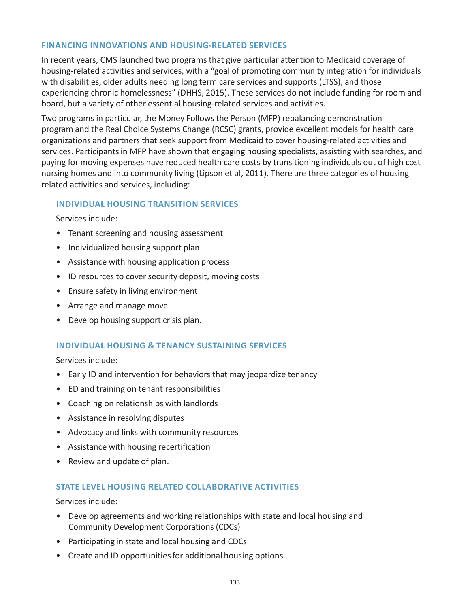### **FINANCING INNOVATIONS AND HOUSING-RELATED SERVICES**

In recent years, CMS launched two programs that give particular attention to Medicaid coverage of housing-related activities and services, with a "goal of promoting community integration for individuals with disabilities, older adults needing long term care services and supports (LTSS), and those experiencing chronic homelessness" (DHHS, 2015). These services do not include funding for room and board, but a variety of other essential housing-related services and activities.

Two programs in particular, the Money Follows the Person (MFP) rebalancing demonstration program and the Real Choice Systems Change (RCSC) grants, provide excellent models for health care organizations and partners that seek support from Medicaid to cover housing-related activities and services. Participants in MFP have shown that engaging housing specialists, assisting with searches, and paying for moving expenses have reduced health care costs by transitioning individuals out of high cost nursing homes and into community living (Lipson et al, 2011). There are three categories of housing related activities and services, including:

### **INDIVIDUAL HOUSING TRANSITION SERVICES**

Services include:

- Tenant screening and housing assessment
- Individualized housing support plan
- Assistance with housing application process
- ID resources to cover security deposit, moving costs
- Ensure safety in living environment
- Arrange and manage move
- Develop housing support crisis plan.

### **INDIVIDUAL HOUSING & TENANCY SUSTAINING SERVICES**

Services include:

- Early ID and intervention for behaviors that may jeopardize tenancy
- ED and training on tenant responsibilities
- Coaching on relationships with landlords
- Assistance in resolving disputes
- Advocacy and links with community resources
- Assistance with housing recertification
- Review and update of plan.

### **STATE LEVEL HOUSING RELATED COLLABORATIVE ACTIVITIES**

Services include:

- Develop agreements and working relationships with state and local housing and Community Development Corporations (CDCs)
- Participating in state and local housing and CDCs
- Create and ID opportunities for additional housing options.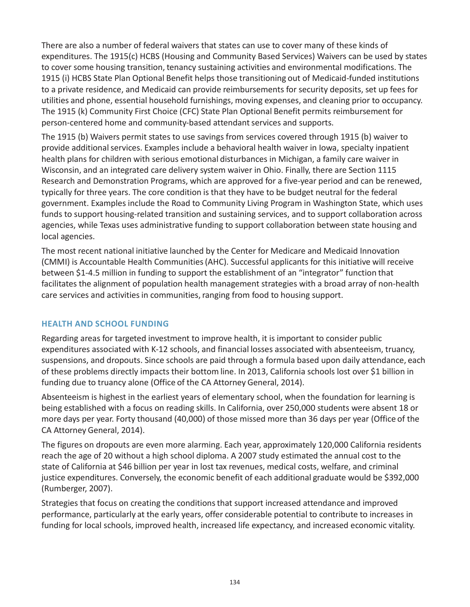There are also a number of federal waivers that states can use to cover many of these kinds of expenditures. The 1915(c) HCBS (Housing and Community Based Services) Waivers can be used by states to cover some housing transition, tenancy sustaining activities and environmental modifications. The 1915 (i) HCBS State Plan Optional Benefit helps those transitioning out of Medicaid-funded institutions to a private residence, and Medicaid can provide reimbursements for security deposits, set up fees for utilities and phone, essential household furnishings, moving expenses, and cleaning prior to occupancy. The 1915 (k) Community First Choice (CFC) State Plan Optional Benefit permits reimbursement for person-centered home and community-based attendant services and supports.

The 1915 (b) Waivers permit states to use savings from services covered through 1915 (b) waiver to provide additionalservices. Examples include a behavioral health waiver in Iowa, specialty inpatient health plans for children with serious emotional disturbances in Michigan, a family care waiver in Wisconsin, and an integrated care delivery system waiver in Ohio. Finally, there are Section 1115 Research and Demonstration Programs, which are approved for a five-year period and can be renewed, typically for three years. The core condition is that they have to be budget neutral for the federal government. Examples include the Road to Community Living Program in Washington State, which uses funds to support housing-related transition and sustaining services, and to support collaboration across agencies, while Texas uses administrative funding to support collaboration between state housing and local agencies.

The most recent national initiative launched by the Center for Medicare and Medicaid Innovation (CMMI) is Accountable Health Communities(AHC). Successful applicants for this initiative will receive between \$1-4.5 million in funding to support the establishment of an "integrator" function that facilitates the alignment of population health management strategies with a broad array of non-health care services and activities in communities, ranging from food to housing support.

## **HEALTH AND SCHOOL FUNDING**

Regarding areas for targeted investment to improve health, it is important to consider public expenditures associated with K-12 schools, and financial losses associated with absenteeism, truancy, suspensions, and dropouts. Since schools are paid through a formula based upon daily attendance, each of these problems directly impacts their bottom line. In 2013, California schools lost over \$1 billion in funding due to truancy alone (Office of the CA Attorney General, 2014).

Absenteeism is highest in the earliest years of elementary school, when the foundation for learning is being established with a focus on reading skills. In California, over 250,000 students were absent 18 or more days per year. Forty thousand (40,000) of those missed more than 36 days per year (Office of the CA Attorney General, 2014).

The figures on dropouts are even more alarming. Each year, approximately 120,000 California residents reach the age of 20 without a high school diploma. A 2007 study estimated the annual cost to the state of California at \$46 billion per year in lost tax revenues, medical costs, welfare, and criminal justice expenditures. Conversely, the economic benefit of each additional graduate would be \$392,000 (Rumberger, 2007).

Strategies that focus on creating the conditionsthat support increased attendance and improved performance, particularly at the early years, offer considerable potential to contribute to increases in funding for local schools, improved health, increased life expectancy, and increased economic vitality.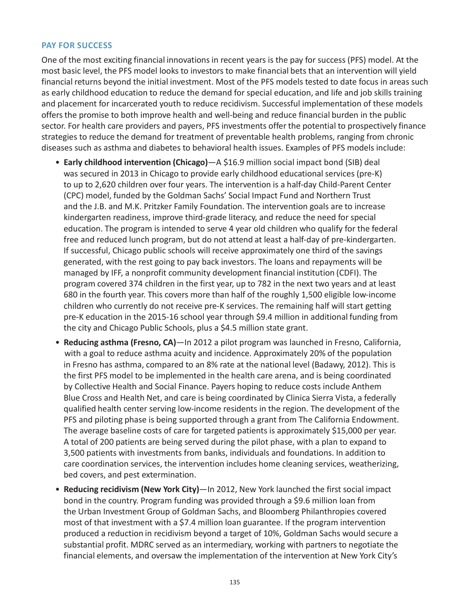#### **PAY FOR SUCCESS**

One of the most exciting financial innovations in recent years is the pay for success (PFS) model. At the most basic level, the PFS model looks to investors to make financial bets that an intervention will yield financial returns beyond the initial investment. Most of the PFS models tested to date focus in areas such as early childhood education to reduce the demand for special education, and life and job skills training and placement for incarcerated youth to reduce recidivism. Successful implementation of these models offersthe promise to both improve health and well-being and reduce financial burden in the public sector. For health care providers and payers, PFS investments offer the potential to prospectively finance strategies to reduce the demand for treatment of preventable health problems, ranging from chronic diseases such as asthma and diabetes to behavioral health issues. Examples of PFS models include:

- **Early childhood intervention (Chicago)**—A \$16.9 million social impact bond (SIB) deal was secured in 2013 in Chicago to provide early childhood educationalservices (pre-K) to up to 2,620 children over four years. The intervention is a half-day Child-Parent Center (CPC) model, funded by the Goldman Sachs' Social Impact Fund and Northern Trust and the J.B. and M.K. Pritzker Family Foundation. The intervention goals are to increase kindergarten readiness, improve third-grade literacy, and reduce the need for special education. The program is intended to serve 4 year old children who qualify for the federal free and reduced lunch program, but do not attend at least a half-day of pre-kindergarten. If successful, Chicago public schools will receive approximately one third of the savings generated, with the rest going to pay back investors. The loans and repayments will be managed by IFF, a nonprofit community development financial institution (CDFI). The program covered 374 children in the first year, up to 782 in the next two years and at least 680 in the fourth year. This covers more than half of the roughly 1,500 eligible low-income children who currently do not receive pre-K services. The remaining half will start getting pre-K education in the 2015-16 school year through \$9.4 million in additional funding from the city and Chicago Public Schools, plus a \$4.5 million state grant.
- **Reducing asthma (Fresno, CA)**—In 2012 a pilot program was launched in Fresno, California, with a goal to reduce asthma acuity and incidence. Approximately 20% of the population in Fresno has asthma, compared to an 8% rate at the national level (Badawy, 2012). This is the first PFS model to be implemented in the health care arena, and is being coordinated by Collective Health and Social Finance. Payers hoping to reduce costs include Anthem Blue Cross and Health Net, and care is being coordinated by Clinica Sierra Vista, a federally qualified health center serving low-income residents in the region. The development of the PFS and piloting phase is being supported through a grant from The California Endowment. The average baseline costs of care for targeted patients is approximately \$15,000 per year. A total of 200 patients are being served during the pilot phase, with a plan to expand to 3,500 patients with investments from banks, individuals and foundations. In addition to care coordination services, the intervention includes home cleaning services, weatherizing, bed covers, and pest extermination.
- **Reducing recidivism (New York City)**—In 2012, New York launched the first social impact bond in the country. Program funding was provided through a \$9.6 million loan from the Urban Investment Group of Goldman Sachs, and Bloomberg Philanthropies covered most of that investment with a \$7.4 million loan guarantee. If the program intervention produced a reduction in recidivism beyond a target of 10%, Goldman Sachs would secure a substantial profit. MDRC served as an intermediary, working with partners to negotiate the financial elements, and oversaw the implementation of the intervention at New York City's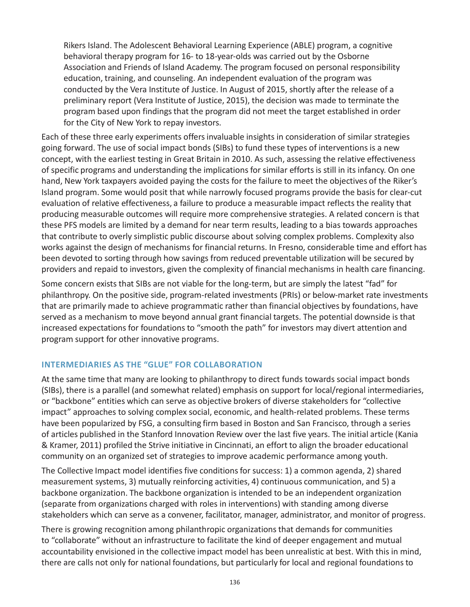Rikers Island. The Adolescent Behavioral Learning Experience (ABLE) program, a cognitive behavioral therapy program for 16- to 18-year-olds was carried out by the Osborne Association and Friends of Island Academy. The program focused on personal responsibility education, training, and counseling. An independent evaluation of the program was conducted by the Vera Institute of Justice. In August of 2015, shortly after the release of a preliminary report (Vera Institute of Justice, 2015), the decision was made to terminate the program based upon findings that the program did not meet the target established in order for the City of New York to repay investors.

Each of these three early experiments offersinvaluable insights in consideration of similar strategies going forward. The use of social impact bonds (SIBs) to fund these types of interventionsis a new concept, with the earliest testing in Great Britain in 2010. As such, assessing the relative effectiveness of specific programs and understanding the implications for similar effortsis still in its infancy. On one hand, New York taxpayers avoided paying the costs for the failure to meet the objectives of the Riker's Island program. Some would posit that while narrowly focused programs provide the basis for clear-cut evaluation of relative effectiveness, a failure to produce a measurable impact reflects the reality that producing measurable outcomes will require more comprehensive strategies. A related concern is that these PFS models are limited by a demand for near term results, leading to a bias towards approaches that contribute to overly simplistic public discourse about solving complex problems. Complexity also works against the design of mechanisms for financial returns. In Fresno, considerable time and effort has been devoted to sorting through how savings from reduced preventable utilization will be secured by providers and repaid to investors, given the complexity of financial mechanisms in health care financing.

Some concern exists that SIBs are not viable for the long-term, but are simply the latest "fad" for philanthropy. On the positive side, program-related investments (PRIs) or below-market rate investments that are primarily made to achieve programmatic rather than financial objectives by foundations, have served as a mechanism to move beyond annual grant financial targets. The potential downside is that increased expectations for foundations to "smooth the path" for investors may divert attention and program support for other innovative programs.

## **INTERMEDIARIES AS THE "GLUE" FOR COLLABORATION**

At the same time that many are looking to philanthropy to direct funds towards social impact bonds (SIBs), there is a parallel (and somewhat related) emphasis on support for local/regional intermediaries, or "backbone" entities which can serve as objective brokers of diverse stakeholders for "collective impact" approaches to solving complex social, economic, and health-related problems. These terms have been popularized by FSG, a consulting firm based in Boston and San Francisco, through a series of articles published in the Stanford Innovation Review over the last five years. The initial article (Kania & Kramer, 2011) profiled the Strive initiative in Cincinnati, an effort to align the broader educational community on an organized set of strategies to improve academic performance among youth.

The Collective Impact model identifies five conditions for success: 1) a common agenda, 2) shared measurement systems, 3) mutually reinforcing activities, 4) continuous communication, and 5) a backbone organization. The backbone organization is intended to be an independent organization (separate from organizations charged with roles in interventions) with standing among diverse stakeholders which can serve as a convener, facilitator, manager, administrator, and monitor of progress.

There is growing recognition among philanthropic organizationsthat demands for communities to "collaborate" without an infrastructure to facilitate the kind of deeper engagement and mutual accountability envisioned in the collective impact model has been unrealistic at best. With this in mind, there are calls not only for national foundations, but particularly for local and regional foundations to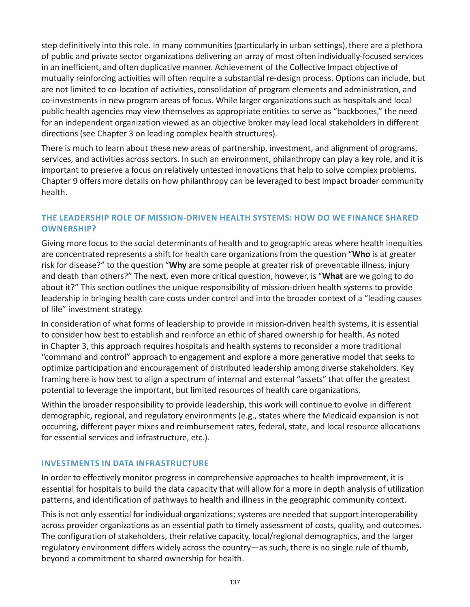step definitively into this role. In many communities (particularly in urban settings), there are a plethora of public and private sector organizations delivering an array of most often individually-focused services in an inefficient, and often duplicative manner. Achievement of the Collective Impact objective of mutually reinforcing activities will often require a substantial re-design process. Options can include, but are not limited to co-location of activities, consolidation of program elements and administration, and co-investments in new program areas of focus. While larger organizationssuch as hospitals and local public health agencies may view themselves as appropriate entities to serve as "backbones," the need for an independent organization viewed as an objective broker may lead local stakeholders in different directions(see Chapter 3 on leading complex health structures).

There is much to learn about these new areas of partnership, investment, and alignment of programs, services, and activities across sectors. In such an environment, philanthropy can play a key role, and it is important to preserve a focus on relatively untested innovationsthat help to solve complex problems. Chapter 9 offers more details on how philanthropy can be leveraged to best impact broader community health.

## **THE LEADERSHIP ROLE OF MISSION-DRIVEN HEALTH SYSTEMS: HOW DO WE FINANCE SHARED OWNERSHIP?**

Giving more focus to the social determinants of health and to geographic areas where health inequities are concentrated represents a shift for health care organizationsfrom the question "**Who** is at greater risk for disease?" to the question "**Why** are some people at greater risk of preventable illness, injury and death than others?" The next, even more critical question, however, is "**What** are we going to do about it?" This section outlines the unique responsibility of mission-driven health systems to provide leadership in bringing health care costs under control and into the broader context of a "leading causes of life" investment strategy.

In consideration of what forms of leadership to provide in mission-driven health systems, it is essential to consider how best to establish and reinforce an ethic of shared ownership for health. As noted in Chapter 3, this approach requires hospitals and health systems to reconsider a more traditional "command and control" approach to engagement and explore a more generative model that seeks to optimize participation and encouragement of distributed leadership among diverse stakeholders. Key framing here is how best to align a spectrum of internal and external "assets" that offerthe greatest potential to leverage the important, but limited resources of health care organizations.

Within the broader responsibility to provide leadership, this work will continue to evolve in different demographic, regional, and regulatory environments (e.g., states where the Medicaid expansion is not occurring, different payer mixes and reimbursement rates, federal, state, and local resource allocations for essential services and infrastructure, etc.).

## **INVESTMENTS IN DATA INFRASTRUCTURE**

In order to effectively monitor progress in comprehensive approaches to health improvement, it is essential for hospitals to build the data capacity that will allow for a more in depth analysis of utilization patterns, and identification of pathways to health and illness in the geographic community context.

This is not only essential for individual organizations; systems are needed that support interoperability across provider organizations as an essential path to timely assessment of costs, quality, and outcomes. The configuration of stakeholders, their relative capacity, local/regional demographics, and the larger regulatory environment differs widely across the country—as such, there is no single rule of thumb, beyond a commitment to shared ownership for health.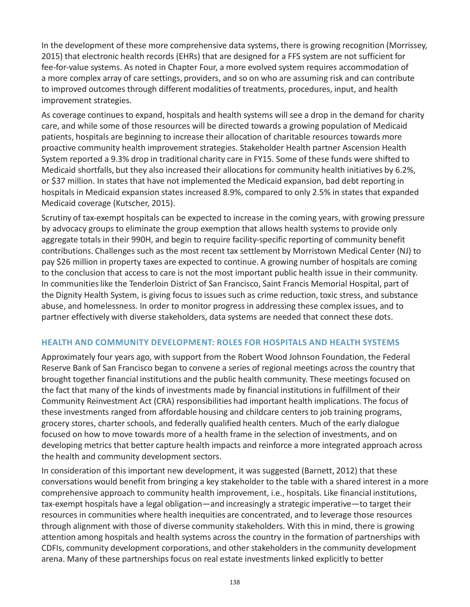In the development of these more comprehensive data systems, there is growing recognition (Morrissey, 2015) that electronic health records (EHRs) that are designed for a FFS system are not sufficient for fee-for-value systems. As noted in Chapter Four, a more evolved system requires accommodation of a more complex array of care settings, providers, and so on who are assuming risk and can contribute to improved outcomes through different modalities of treatments, procedures, input, and health improvement strategies.

As coverage continuesto expand, hospitals and health systems will see a drop in the demand for charity care, and while some of those resources will be directed towards a growing population of Medicaid patients, hospitals are beginning to increase their allocation of charitable resources towards more proactive community health improvement strategies. Stakeholder Health partner Ascension Health System reported a 9.3% drop in traditional charity care in FY15. Some of these funds were shifted to Medicaid shortfalls, but they also increased their allocations for community health initiatives by 6.2%, or \$37 million. In states that have not implemented the Medicaid expansion, bad debt reporting in hospitals in Medicaid expansion states increased 8.9%, compared to only 2.5% in states that expanded Medicaid coverage (Kutscher, 2015).

Scrutiny of tax-exempt hospitals can be expected to increase in the coming years, with growing pressure by advocacy groups to eliminate the group exemption that allows health systems to provide only aggregate totals in their 990H, and begin to require facility-specific reporting of community benefit contributions. Challenges such as the most recent tax settlement by Morristown Medical Center (NJ) to pay \$26 million in property taxes are expected to continue. A growing number of hospitals are coming to the conclusion that access to care is not the most important public health issue in their community. In communitieslike the Tenderloin District of San Francisco, Saint Francis Memorial Hospital, part of the Dignity Health System, is giving focus to issues such as crime reduction, toxic stress, and substance abuse, and homelessness. In order to monitor progress in addressing these complex issues, and to partner effectively with diverse stakeholders, data systems are needed that connect these dots.

### **HEALTH AND COMMUNITY DEVELOPMENT: ROLES FOR HOSPITALS AND HEALTH SYSTEMS**

Approximately four years ago, with support from the Robert Wood Johnson Foundation, the Federal Reserve Bank of San Francisco began to convene a series of regional meetings across the country that brought together financial institutions and the public health community. These meetings focused on the fact that many of the kinds of investments made by financial institutionsin fulfillment of their Community Reinvestment Act (CRA) responsibilities had important health implications. The focus of these investments ranged from affordable housing and childcare centers to job training programs, grocery stores, charter schools, and federally qualified health centers. Much of the early dialogue focused on how to move towards more of a health frame in the selection of investments, and on developing metrics that better capture health impacts and reinforce a more integrated approach across the health and community development sectors.

In consideration of this important new development, it was suggested (Barnett, 2012) that these conversations would benefit from bringing a key stakeholder to the table with a shared interest in a more comprehensive approach to community health improvement, i.e., hospitals. Like financial institutions, tax-exempt hospitals have a legal obligation—and increasingly a strategic imperative—to target their resources in communities where health inequities are concentrated, and to leverage those resources through alignment with those of diverse community stakeholders. With this in mind, there is growing attention among hospitals and health systems across the country in the formation of partnerships with CDFIs, community development corporations, and other stakeholders in the community development arena. Many of these partnerships focus on real estate investments linked explicitly to better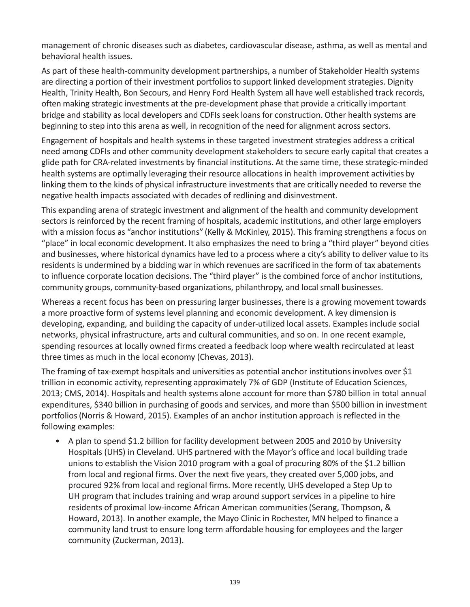management of chronic diseases such as diabetes, cardiovascular disease, asthma, as well as mental and behavioral health issues.

As part of these health-community development partnerships, a number of Stakeholder Health systems are directing a portion of their investment portfolios to support linked development strategies. Dignity Health, Trinity Health, Bon Secours, and Henry Ford Health System all have well established track records, often making strategic investments at the pre-development phase that provide a critically important bridge and stability as local developers and CDFIs seek loans for construction. Other health systems are beginning to step into this arena as well, in recognition of the need for alignment across sectors.

Engagement of hospitals and health systems in these targeted investment strategies address a critical need among CDFIs and other community development stakeholders to secure early capital that creates a glide path for CRA-related investments by financial institutions. At the same time, these strategic-minded health systems are optimally leveraging their resource allocationsin health improvement activities by linking them to the kinds of physical infrastructure investments that are critically needed to reverse the negative health impacts associated with decades of redlining and disinvestment.

This expanding arena of strategic investment and alignment of the health and community development sectors is reinforced by the recent framing of hospitals, academic institutions, and other large employers with a mission focus as "anchor institutions" (Kelly & McKinley, 2015). This framing strengthens a focus on "place" in local economic development. It also emphasizes the need to bring a "third player" beyond cities and businesses, where historical dynamics have led to a process where a city's ability to deliver value to its residents is undermined by a bidding war in which revenues are sacrificed in the form of tax abatements to influence corporate location decisions. The "third player" is the combined force of anchor institutions, community groups, community-based organizations, philanthropy, and local small businesses.

Whereas a recent focus has been on pressuring larger businesses, there is a growing movement towards a more proactive form of systems level planning and economic development. A key dimension is developing, expanding, and building the capacity of under-utilized local assets. Examples include social networks, physical infrastructure, arts and cultural communities, and so on. In one recent example, spending resources at locally owned firms created a feedback loop where wealth recirculated at least three times as much in the local economy (Chevas, 2013).

The framing of tax-exempt hospitals and universities as potential anchor institutions involves over \$1 trillion in economic activity, representing approximately 7% of GDP (Institute of Education Sciences, 2013; CMS, 2014). Hospitals and health systems alone account for more than \$780 billion in total annual expenditures, \$340 billion in purchasing of goods and services, and more than \$500 billion in investment portfolios(Norris & Howard, 2015). Examples of an anchor institution approach is reflected in the following examples:

• A plan to spend \$1.2 billion for facility development between 2005 and 2010 by University Hospitals (UHS) in Cleveland. UHS partnered with the Mayor's office and local building trade unions to establish the Vision 2010 program with a goal of procuring 80% of the \$1.2 billion from local and regional firms. Over the next five years, they created over 5,000 jobs, and procured 92% from local and regional firms. More recently, UHS developed a Step Up to UH program that includes training and wrap around support services in a pipeline to hire residents of proximal low-income African American communities(Serang, Thompson, & Howard, 2013). In another example, the Mayo Clinic in Rochester, MN helped to finance a community land trust to ensure long term affordable housing for employees and the larger community (Zuckerman, 2013).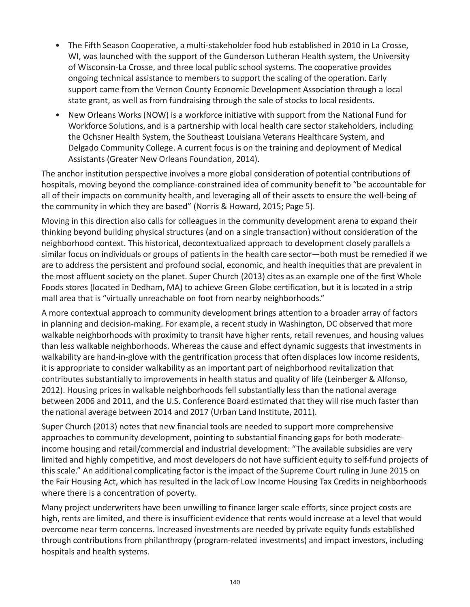- The Fifth Season Cooperative, a multi-stakeholder food hub established in 2010 in La Crosse, WI, was launched with the support of the Gunderson Lutheran Health system, the University of Wisconsin-La Crosse, and three local public school systems. The cooperative provides ongoing technical assistance to members to support the scaling of the operation. Early support came from the Vernon County Economic Development Association through a local state grant, as well as from fundraising through the sale of stocks to local residents.
- New Orleans Works (NOW) is a workforce initiative with support from the National Fund for Workforce Solutions, and is a partnership with local health care sector stakeholders, including the Ochsner Health System, the Southeast Louisiana Veterans Healthcare System, and Delgado Community College. A current focus is on the training and deployment of Medical Assistants (Greater New Orleans Foundation, 2014).

The anchor institution perspective involves a more global consideration of potential contributions of hospitals, moving beyond the compliance-constrained idea of community benefit to "be accountable for all of their impacts on community health, and leveraging all of their assets to ensure the well-being of the community in which they are based" (Norris & Howard, 2015; Page 5).

Moving in this direction also calls for colleagues in the community development arena to expand their thinking beyond building physical structures (and on a single transaction) without consideration of the neighborhood context. This historical, decontextualized approach to development closely parallels a similar focus on individuals or groups of patients in the health care sector—both must be remedied if we are to address the persistent and profound social, economic, and health inequities that are prevalent in the most affluent society on the planet. Super Church (2013) cites as an example one of the first Whole Foods stores (located in Dedham, MA) to achieve Green Globe certification, but it is located in a strip mall area that is "virtually unreachable on foot from nearby neighborhoods."

A more contextual approach to community development brings attention to a broader array of factors in planning and decision-making. For example, a recent study in Washington, DC observed that more walkable neighborhoods with proximity to transit have higher rents, retail revenues, and housing values than less walkable neighborhoods. Whereas the cause and effect dynamic suggests that investments in walkability are hand-in-glove with the gentrification process that often displaces low income residents, it is appropriate to consider walkability as an important part of neighborhood revitalization that contributes substantially to improvements in health status and quality of life (Leinberger & Alfonso, 2012). Housing prices in walkable neighborhoods fell substantially less than the national average between 2006 and 2011, and the U.S. Conference Board estimated that they will rise much faster than the national average between 2014 and 2017 (Urban Land Institute, 2011).

Super Church (2013) notes that new financial tools are needed to support more comprehensive approaches to community development, pointing to substantial financing gaps for both moderateincome housing and retail/commercial and industrial development: "The available subsidies are very limited and highly competitive, and most developers do not have sufficient equity to self-fund projects of this scale." An additional complicating factor is the impact of the Supreme Court ruling in June 2015 on the Fair Housing Act, which has resulted in the lack of Low Income Housing Tax Credits in neighborhoods where there is a concentration of poverty.

Many project underwriters have been unwilling to finance larger scale efforts, since project costs are high, rents are limited, and there is insufficient evidence that rents would increase at a level that would overcome near term concerns. Increased investments are needed by private equity funds established through contributionsfrom philanthropy (program-related investments) and impact investors, including hospitals and health systems.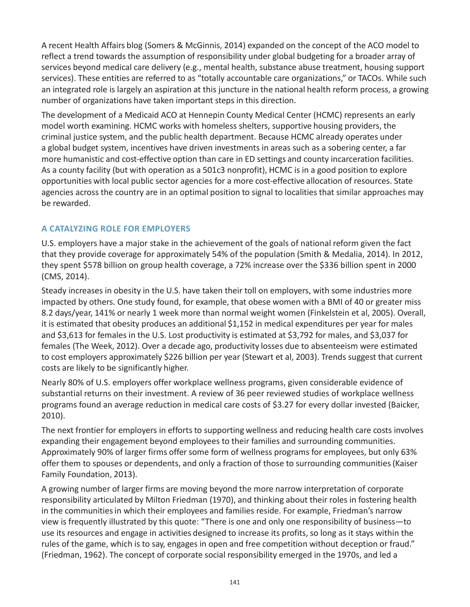A recent Health Affairs blog (Somers & McGinnis, 2014) expanded on the concept of the ACO model to reflect a trend towards the assumption of responsibility under global budgeting for a broader array of services beyond medical care delivery (e.g., mental health, substance abuse treatment, housing support services). These entities are referred to as "totally accountable care organizations," or TACOs. While such an integrated role is largely an aspiration at this juncture in the national health reform process, a growing number of organizations have taken important steps in this direction.

The development of a Medicaid ACO at Hennepin County Medical Center (HCMC) represents an early model worth examining. HCMC works with homeless shelters, supportive housing providers, the criminal justice system, and the public health department. Because HCMC already operates under a global budget system, incentives have driven investments in areas such as a sobering center, a far more humanistic and cost-effective option than care in ED settings and county incarceration facilities. As a county facility (but with operation as a 501c3 nonprofit), HCMC is in a good position to explore opportunities with local public sector agencies for a more cost-effective allocation of resources. State agencies across the country are in an optimal position to signal to localitiesthat similar approaches may be rewarded.

## **A CATALYZING ROLE FOR EMPLOYERS**

U.S. employers have a major stake in the achievement of the goals of national reform given the fact that they provide coverage for approximately 54% of the population (Smith & Medalia, 2014). In 2012, they spent \$578 billion on group health coverage, a 72% increase over the \$336 billion spent in 2000 (CMS, 2014).

Steady increases in obesity in the U.S. have taken their toll on employers, with some industries more impacted by others. One study found, for example, that obese women with a BMI of 40 or greater miss 8.2 days/year, 141% or nearly 1 week more than normal weight women (Finkelstein et al, 2005). Overall, it is estimated that obesity produces an additional \$1,152 in medical expenditures per year for males and \$3,613 for females in the U.S. Lost productivity is estimated at \$3,792 for males, and \$3,037 for females (The Week, 2012). Over a decade ago, productivity losses due to absenteeism were estimated to cost employers approximately \$226 billion per year (Stewart et al, 2003). Trends suggest that current costs are likely to be significantly higher.

Nearly 80% of U.S. employers offer workplace wellness programs, given considerable evidence of substantial returns on their investment. A review of 36 peer reviewed studies of workplace wellness programs found an average reduction in medical care costs of \$3.27 for every dollar invested (Baicker, 2010).

The next frontier for employers in efforts to supporting wellness and reducing health care costs involves expanding their engagement beyond employees to their families and surrounding communities. Approximately 90% of larger firms offersome form of wellness programs for employees, but only 63% offer them to spouses or dependents, and only a fraction of those to surrounding communities(Kaiser Family Foundation, 2013).

A growing number of larger firms are moving beyond the more narrow interpretation of corporate responsibility articulated by Milton Friedman (1970), and thinking about their roles in fostering health in the communitiesin which their employees and families reside. For example, Friedman's narrow view is frequently illustrated by this quote: "There is one and only one responsibility of business—to use its resources and engage in activities designed to increase its profits, so long as it stays within the rules of the game, which is to say, engages in open and free competition without deception or fraud." (Friedman, 1962). The concept of corporate social responsibility emerged in the 1970s, and led a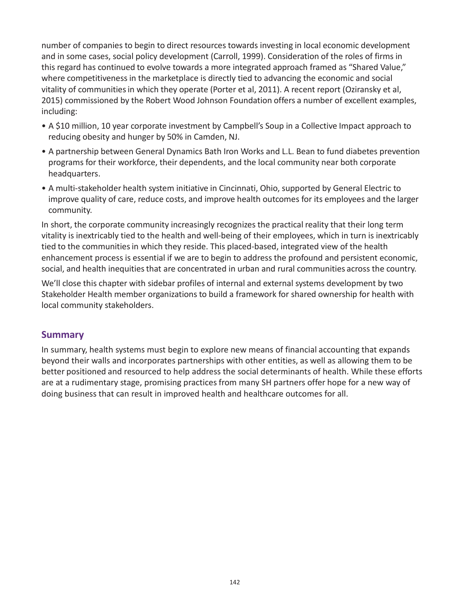number of companies to begin to direct resources towards investing in local economic development and in some cases, social policy development (Carroll, 1999). Consideration of the roles of firms in this regard has continued to evolve towards a more integrated approach framed as "Shared Value," where competitivenessin the marketplace is directly tied to advancing the economic and social vitality of communitiesin which they operate (Porter et al, 2011). A recent report (Oziransky et al, 2015) commissioned by the Robert Wood Johnson Foundation offers a number of excellent examples, including:

- A \$10 million, 10 year corporate investment by Campbell's Soup in a Collective Impact approach to reducing obesity and hunger by 50% in Camden, NJ.
- A partnership between General Dynamics Bath Iron Works and L.L. Bean to fund diabetes prevention programs for their workforce, their dependents, and the local community near both corporate headquarters.
- A multi-stakeholder health system initiative in Cincinnati, Ohio, supported by General Electric to improve quality of care, reduce costs, and improve health outcomes for its employees and the larger community.

In short, the corporate community increasingly recognizes the practical reality that their long term vitality is inextricably tied to the health and well-being of their employees, which in turn is inextricably tied to the communities in which they reside. This placed-based, integrated view of the health enhancement process is essential if we are to begin to address the profound and persistent economic, social, and health inequities that are concentrated in urban and rural communities across the country.

We'll close this chapter with sidebar profiles of internal and external systems development by two Stakeholder Health member organizations to build a framework for shared ownership for health with local community stakeholders.

# **Summary**

In summary, health systems must begin to explore new means of financial accounting that expands beyond their walls and incorporates partnerships with other entities, as well as allowing them to be better positioned and resourced to help address the social determinants of health. While these efforts are at a rudimentary stage, promising practices from many SH partners offer hope for a new way of doing business that can result in improved health and healthcare outcomes for all.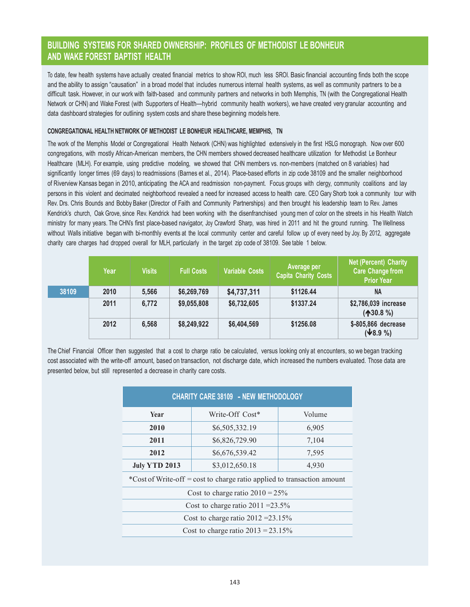# **BUILDING SYSTEMS FOR SHARED OWNERSHIP: PROFILES OF METHODIST LE BONHEUR AND WAKE FOREST BAPTIST HEALTH**

To date, few health systems have actually created financial metrics to show ROI, much less SROI. Basic financial accounting finds both the scope and the ability to assign "causation" in a broad model that includes numerous internal health systems, as well as community partners to be a difficult task. However, in our work with faith-based and community partners and networks in both Memphis, TN (with the Congregational Health Network or CHN) and Wake Forest (with Supporters of Health—hybrid community health workers), we have created very granular accounting and data dashboard strategies for outlining system costs and share these beginning models here.

#### **CONGREGATIONAL HEALTH NETWORK OF METHODIST LE BONHEUR HEALTHCARE, MEMPHIS, TN**

The work of the Memphis Model or Congregational Health Network (CHN) was highlighted extensively in the first HSLG monograph. Now over 600 congregations, with mostly African-American members, the CHN members showed decreased healthcare utilization for Methodist Le Bonheur Healthcare (MLH). For example, using predictive modeling, we showed that CHN members vs. non-members (matched on 8 variables) had significantly longer times (69 days) to readmissions (Barnes et al., 2014). Place-based efforts in zip code 38109 and the smaller neighborhood of Riverview Kansas began in 2010, anticipating the ACA and readmission non-payment. Focus groups with clergy, community coalitions and lay persons in this violent and decimated neighborhood revealed a need for increased access to health care. CEO Gary Shorb took a community tour with Rev. Drs. Chris Bounds and Bobby Baker (Director of Faith and Community Partnerships) and then brought his leadership team to Rev. James Kendrick's church, Oak Grove, since Rev. Kendrick had been working with the disenfranchised young men of color on the streets in his Health Watch ministry for many years. The CHN's first place-based navigator, Joy Crawford Sharp, was hired in 2011 and hit the ground running. The Wellness without Walls initiative began with bi-monthly events at the local community center and careful follow up of every need by Joy. By 2012, aggregate charity care charges had dropped overall for MLH, particularly in the target zip code of 38109. See table 1 below.

|       | Year | <b>Visits</b> | <b>Full Costs</b> | <b>Variable Costs</b> | Average per<br><b>Capita Charity Costs</b> | <b>Net (Percent) Charity</b><br><b>Care Change from</b><br><b>Prior Year</b> |
|-------|------|---------------|-------------------|-----------------------|--------------------------------------------|------------------------------------------------------------------------------|
| 38109 | 2010 | 5,566         | \$6,269,769       | \$4,737,311           | \$1126.44                                  | <b>NA</b>                                                                    |
|       | 2011 | 6.772         | \$9,055,808       | \$6,732,605           | \$1337.24                                  | \$2,786,039 increase<br>$($ <b>1</b> 30.8 %)                                 |
|       | 2012 | 6.568         | \$8,249,922       | \$6,404,569           | \$1256.08                                  | \$-805,866 decrease<br>$(\sqrt{8.9} \%)$                                     |

The Chief Financial Officer then suggested that a cost to charge ratio be calculated, versus looking only at encounters, so we began tracking cost associated with the write-off amount, based on transaction, not discharge date, which increased the numbers evaluated. Those data are presented below, but still represented a decrease in charity care costs.

| <b>CHARITY CARE 38109 - NEW METHODOLOGY</b>                             |                 |        |  |  |  |  |
|-------------------------------------------------------------------------|-----------------|--------|--|--|--|--|
| Year                                                                    | Write-Off Cost* | Volume |  |  |  |  |
| 2010                                                                    | \$6,505,332.19  | 6,905  |  |  |  |  |
| 2011                                                                    | \$6,826,729.90  | 7,104  |  |  |  |  |
| 2012                                                                    | \$6,676,539.42  | 7,595  |  |  |  |  |
| <b>July YTD 2013</b>                                                    | \$3,012,650.18  | 4,930  |  |  |  |  |
| *Cost of Write-off = cost to charge ratio applied to transaction amount |                 |        |  |  |  |  |
| Cost to charge ratio $2010 = 25\%$                                      |                 |        |  |  |  |  |
| Cost to charge ratio $2011 = 23.5\%$                                    |                 |        |  |  |  |  |
| Cost to charge ratio $2012 = 23.15\%$                                   |                 |        |  |  |  |  |
| Cost to charge ratio $2013 = 23.15\%$                                   |                 |        |  |  |  |  |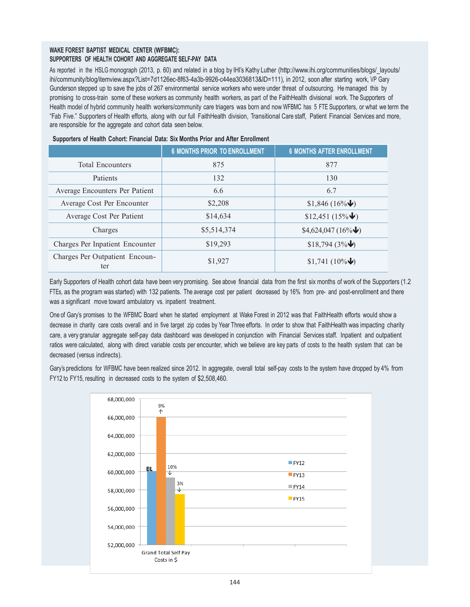#### **WAKE FOREST BAPTIST MEDICAL CENTER (WFBMC): SUPPORTERS OF HEALTH COHORT AND AGGREGATE SELF-PAY DATA**

As reported in the HSLG monograph (2013, p. 60) and related in a blog by IHI's Kathy Luther (http://www.ihi.org/communities/blogs/ layouts/ ihi/community/blog/itemview.aspx?List=7d1126ec-8f63-4a3b-9926-c44ea3036813&ID=111), in 2012, soon after starting work, VP Gary Gunderson stepped up to save the jobs of 267 environmental service workers who were under threat of outsourcing. He managed this by promising to cross-train some of these workers as community health workers, as part of the FaithHealth divisional work. The Supporters of Health model of hybrid community health workers/community care triagers was born and now WFBMC has 5 FTE Supporters, or what we term the "Fab Five." Supporters of Health efforts, along with our full FaithHealth division, Transitional Care staff, Patient Financial Services and more, are responsible for the aggregate and cohort data seen below.

|                                       | <b>6 MONTHS PRIOR TO ENROLLMENT</b> | <b>6 MONTHS AFTER ENROLLMENT</b>       |  |
|---------------------------------------|-------------------------------------|----------------------------------------|--|
| <b>Total Encounters</b>               | 875                                 | 877                                    |  |
| Patients                              | 132                                 | 130                                    |  |
| Average Encounters Per Patient        | 6.6                                 | 6.7                                    |  |
| Average Cost Per Encounter            | \$2,208                             | $$1,846 (16\% \text{V})$               |  |
| Average Cost Per Patient              | \$14,634                            | $$12,451 (15\% \n\blacktriangleright)$ |  |
| Charges                               | \$5,514,374                         | $$4,624,047$ (16% $\blacklozenge$ )    |  |
| Charges Per Inpatient Encounter       | \$19,293                            | $$18,794 (3\% \text{V})$               |  |
| Charges Per Outpatient Encoun-<br>ter | \$1,927                             | $$1,741 (10\% \text{V})$               |  |

**Supporters of Health Cohort: Financial Data: Six Months Prior and After Enrollment**

Early Supporters of Health cohort data have been very promising. See above financial data from the first six months of work of the Supporters (1.2 FTEs, as the program was started) with 132 patients. The average cost per patient decreased by 16% from pre- and post-enrollment and there was a significant move toward ambulatory vs. inpatient treatment.

One of Gary's promises to the WFBMC Board when he started employment at Wake Forest in 2012 was that FaithHealth efforts would show a decrease in charity care costs overall and in five target zip codes by Year Three efforts. In order to show that FaithHealth was impacting charity care, a very granular aggregate self-pay data dashboard was developed in conjunction with Financial Services staff. Inpatient and outpatient ratios were calculated, along with direct variable costs per encounter, which we believe are key parts of costs to the health system that can be decreased (versus indirects).

Gary's predictions for WFBMC have been realized since 2012. In aggregate, overall total self-pay costs to the system have dropped by 4% from FY12 to FY15, resulting in decreased costs to the system of \$2,508,460.

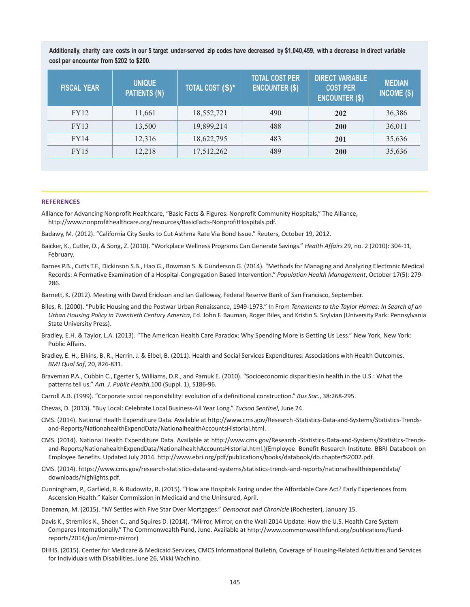Additionally, charity care costs in our 5 target under-served zip codes have decreased by \$1,040,459, with a decrease in direct variable **cost per encounter from \$202 to \$200.**

| <b>FISCAL YEAR</b> | <b>UNIQUE</b><br><b>PATIENTS (N)</b> | TOTAL COST (\$)* | <b>TOTAL COST PER</b><br><b>ENCOUNTER (\$)</b> | <b>DIRECT VARIABLE</b><br><b>COST PER</b><br><b>ENCOUNTER (\$)</b> | <b>MEDIAN</b><br>INCOME (\$) |
|--------------------|--------------------------------------|------------------|------------------------------------------------|--------------------------------------------------------------------|------------------------------|
| FY12               | 11,661                               | 18,552,721       | 490                                            | 202                                                                | 36,386                       |
| FY13               | 13,500                               | 19,899,214       | 488                                            | 200                                                                | 36,011                       |
| <b>FY14</b>        | 12,316                               | 18,622,795       | 483                                            | 201                                                                | 35,636                       |
| <b>FY15</b>        | 12,218                               | 17,512,262       | 489                                            | 200                                                                | 35,636                       |

#### **REFERENCES**

Alliance for Advancing Nonprofit Healthcare, "Basic Facts & Figures: Nonprofit Community Hospitals," The Allianc[e,](http://www.nonprofithealthcare.org/resources/BasicFacts-NonprofitHospitals.pdf) [http://www.nonprofithealthcare.org/resources/BasicFacts-NonprofitHospitals.pdf.](http://www.nonprofithealthcare.org/resources/BasicFacts-NonprofitHospitals.pdf)

Badawy, M. (2012). "California City Seeks to Cut Asthma Rate Via Bond Issue." Reuters, October 19, 2012.

- Baicker, K., Cutler, D., & Song, Z. (2010). "Workplace Wellness Programs Can Generate Savings." *Health Affairs* 29, no. 2 (2010): 304-11, February.
- Barnes P.B., Cutts T.F., Dickinson S.B., Hao G., Bowman S. & Gunderson G. (2014). "Methods for Managing and Analyzing Electronic Medical Records: A Formative Examination of a Hospital-Congregation Based Intervention." *Population Health Management*, October 17(5): 279- 286.
- Barnett, K. (2012). Meeting with David Erickson and Ian Galloway, Federal Reserve Bank of San Francisco, September.
- Biles, R. (2000). "Public Housing and the Postwar Urban Renaissance, 1949-1973." In From *Tenements to the Taylor Homes: In Search of an Urban Housing Policy in Twentieth Century America*, Ed. John F. Bauman, Roger Biles, and Kristin S. Szylvian (University Park: Pennsylvania State University Press).
- Bradley, E.H. & Taylor, L.A. (2013). "The American Health Care Paradox: Why Spending More is Getting Us Less." New York, New York: Public Affairs.
- Bradley, E. H., Elkins, B. R., Herrin, J. & Elbel, B. (2011). Health and Social Services Expenditures: Associations with Health Outcomes. *BMJ Qual Saf*, 20, 826-831.
- Braveman P.A., Cubbin C., Egerter S, Williams, D.R., and Pamuk E. (2010). "Socioeconomic disparitiesin health in the U.S.: What the patternstell us." *Am. J. Public Health*,100 (Suppl. 1), S186-96.
- Carroll A.B. (1999). "Corporate social responsibility: evolution of a definitional construction." *Bus Soc.*, 38:268-295.
- Chevas, D. (2013). "Buy Local: Celebrate Local Business-All Year Long." *Tucson Sentinel*, June 24.
- CMS. (2014). National Health Expenditure Data. Available [at http://www.cms.gov/Research](http://www.cms.gov/Research) -Statistics-Data-and-Systems/Statistics-Trendsand-Reports/NationahealthExpendData/NationalhealthAccountsHistorial.html.
- CMS. (2014). National Health Expenditure Data. Available [at http://www.cms.gov/Research](http://www.cms.gov/Research) -Statistics-Data-and-Systems/Statistics-Trendsand-Reports/NationahealthExpendData/NationalhealthAccountsHistorial.html.)(Employee Benefit Research Institute. BBRI Databook on Employee Benefits. Updated July 2014. [http://www.ebri.org/pdf/publications/books/databook/db.chapter%2002.pdf.](http://www.ebri.org/pdf/publications/books/databook/db.chapter%2002.pdf)
- CMS. (2014). htt[ps://w](http://www.cms.gov/research-statistics-data-and-systems/statistics-trends-and-reports/nationalhealthexpenddata/)w[w.cms.gov/research-statistics-data-and-systems/statistics-trends-and-reports/nationalhealthexpenddata/](http://www.cms.gov/research-statistics-data-and-systems/statistics-trends-and-reports/nationalhealthexpenddata/) downloads/highlights.pdf.
- Cunningham, P., Garfield, R. & Rudowitz, R. (2015). "How are Hospitals Faring under the Affordable Care Act? Early Experiences from Ascension Health." Kaiser Commission in Medicaid and the Uninsured, April.
- Daneman, M. (2015). "NY Settles with Five Star Over Mortgages." *Democrat and Chronicle* (Rochester), January 15.
- Davis K., Stremikis K., Shoen C., and Squires D. (2014). "Mirror, Mirror, on the Wall 2014 Update: How the U.S. Health Care System Compares Internationally." The Commonwealth Fund, June. Available [at http://www.commonwealthfund.org/publications/fund](http://www.commonwealthfund.org/publications/fund-)reports/2014/jun/mirror-mirror)
- DHHS. (2015). Center for Medicare & Medicaid Services, CMCS Informational Bulletin, Coverage of Housing-Related Activities and Services for Individuals with Disabilities. June 26, Vikki Wachino.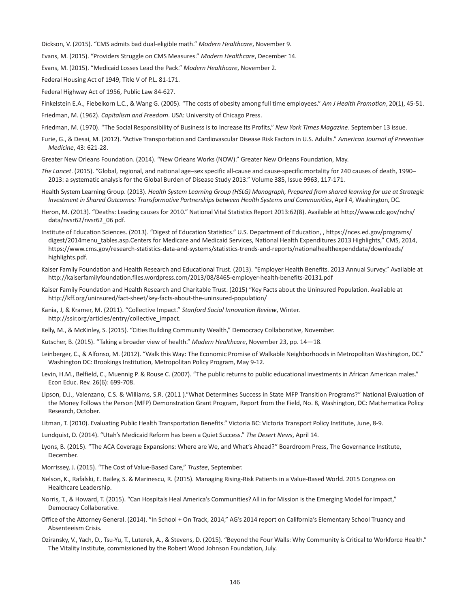Dickson, V. (2015). "CMS admits bad dual-eligible math." *Modern Healthcare*, November 9.

Evans, M. (2015). "Providers Struggle on CMS Measures." *Modern Healthcare*, December 14.

Evans, M. (2015). "Medicaid Losses Lead the Pack." *Modern Healthcare*, November 2.

Federal Housing Act of 1949, Title V of P.L. 81-171.

Federal Highway Act of 1956, Public Law 84-627.

Finkelstein E.A., Fiebelkorn L.C., & Wang G. (2005). "The costs of obesity among full time employees." *Am J Health Promotion*, 20(1), 45-51.

Friedman, M. (1962). *Capitalism and Freedom*. USA: University of Chicago Press.

Friedman, M. (1970). "The Social Responsibility of Business is to Increase Its Profits," *New York Times Magazine*. September 13 issue.

Furie, G., & Desai, M. (2012). "Active Transportation and Cardiovascular Disease Risk Factors in U.S. Adults." *American Journal of Preventive Medicine*, 43: 621-28.

Greater New Orleans Foundation. (2014). "New Orleans Works (NOW)." Greater New Orleans Foundation, May.

- *The Lancet*. (2015). "Global, regional, and national age–sex specific all-cause and cause-specific mortality for 240 causes of death, 1990– 2013: a systematic analysis for the Global Burden of Disease Study 2013." Volume 385, Issue 9963, 117-171.
- Health System Learning Group. (2013). Health System Learning Group (HSLG) Monograph, Prepared from shared learning for use at Strategic *Investment in Shared Outcomes: Transformative Partnerships between Health Systems and Communities*, April 4, Washington, DC.
- Heron, M. (2013). "Deaths: Leading causes for 2010." National Vital Statistics Report 2013:62(8). Available at <http://www.cdc.gov/nchs/> data/nvsr62/nvsr62\_06 pdf.
- Institute of Education Sciences. (2013). "Digest of Education Statistics." U.S. Department of Education, , https://nces.ed.gov/programs/ digest/2014menu tables.asp.Centers for Medicare and Medicaid Services, National Health Expenditures 2013 Highlights," CMS, 2014, htt[ps://w](http://www.cms.gov/research-statistics-data-and-systems/statistics-trends-and-reports/nationalhealthexpenddata/downloads/)w[w.cms.gov/research-statistics-data-and-systems/statistics-trends-and-reports/nationalhealthexpenddata/downloads/](http://www.cms.gov/research-statistics-data-and-systems/statistics-trends-and-reports/nationalhealthexpenddata/downloads/) highlights.pdf.
- Kaiser Family Foundation and Health Research and Educational Trust. (2013). "Employer Health Benefits. 2013 Annual Survey." Available a[t](http://kaiserfamilyfoundation.files.wordpress.com/2013/08/8465-employer-health-benefits-20131.pdf) <http://kaiserfamilyfoundation.files.wordpress.com/2013/08/8465-employer-health-benefits-20131.pdf>
- Kaiser Family Foundation and Health Research and Charitable Trust. (2015) "Key Facts about the Uninsured Population. Available a[t](http://kff.org/uninsured/fact-sheet/key-facts-about-the-uninsured-population/) <http://kff.org/uninsured/fact-sheet/key-facts-about-the-uninsured-population/>
- Kania, J, & Kramer, M. (2011). "Collective Impact." *Stanford Social Innovation Review*, Winte[r.](http://ssir.org/articles/entry/collective_impact) [http://ssir.org/articles/entry/collective\\_impact.](http://ssir.org/articles/entry/collective_impact)
- Kelly, M., & McKinley, S. (2015). "Cities Building Community Wealth," Democracy Collaborative, November.
- Kutscher, B. (2015). "Taking a broader view of health." *Modern Healthcare*, November 23, pp. 14—18.
- Leinberger, C., & Alfonso, M. (2012). "Walk this Way: The Economic Promise of Walkable Neighborhoods in Metropolitan Washington, DC." Washington DC: Brookings Institution, Metropolitan Policy Program, May 9-12.
- Levin, H.M., Belfield, C., Muennig P. & Rouse C. (2007). "The public returns to public educational investments in African American males." Econ Educ. Rev. 26(6): 699-708.
- Lipson, D.J., Valenzano, C.S. & Williams, S.R. (2011 )."What Determines Success in State MFP Transition Programs?" National Evaluation of the Money Follows the Person (MFP) Demonstration Grant Program, Report from the Field, No. 8, Washington, DC: Mathematica Policy Research, October.
- Litman, T. (2010). Evaluating Public Health Transportation Benefits." Victoria BC: Victoria Transport Policy Institute, June, 8-9.

Lundquist, D. (2014). "Utah's Medicaid Reform has been a Quiet Success." *The Desert News*, April 14.

- Lyons, B. (2015). "The ACA Coverage Expansions: Where are We, and What's Ahead?" Boardroom Press, The Governance Institute, December.
- Morrissey, J. (2015). "The Cost of Value-Based Care," *Trustee*, September.
- Nelson, K., Rafalski, E. Bailey, S. & Marinescu, R. (2015). Managing Rising-Risk Patients in a Value-Based World. 2015 Congress on Healthcare Leadership.
- Norris, T., & Howard, T. (2015). "Can Hospitals Heal America's Communities? All in for Mission is the Emerging Model for Impact," Democracy Collaborative.
- Office of the Attorney General. (2014). "In School + On Track, 2014," AG's 2014 report on California's Elementary School Truancy and Absenteeism Crisis.
- Oziransky, V., Yach, D., Tsu-Yu, T., Luterek, A., & Stevens, D. (2015). "Beyond the Four Walls: Why Community is Critical to Workforce Health." The Vitality Institute, commissioned by the Robert Wood Johnson Foundation, July.